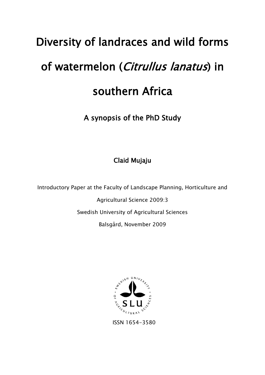# Diversity of landraces and wild forms of watermelon (Citrullus lanatus) in southern Africa

A synopsis of the PhD Study

Claid Mujaju

Introductory Paper at the Faculty of Landscape Planning, Horticulture and

Agricultural Science 2009:3

Swedish University of Agricultural Sciences

Balsgård, November 2009



ISSN 1654-3580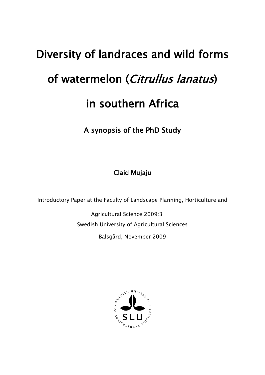# Diversity of landraces and wild forms of watermelon (Citrullus lanatus) in southern Africa

A synopsis of the PhD Study

Claid Mujaju

Introductory Paper at the Faculty of Landscape Planning, Horticulture and

Agricultural Science 2009:3 Swedish University of Agricultural Sciences Balsgård, November 2009

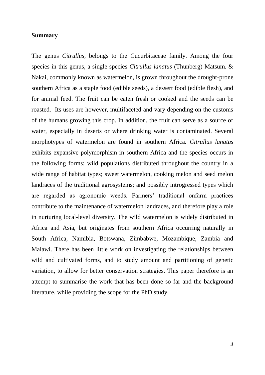# **Summary**

The genus *Citrullus*, belongs to the Cucurbitaceae family. Among the four species in this genus, a single species *Citrullus lanatus* (Thunberg) Matsum. & Nakai, commonly known as watermelon, is grown throughout the drought-prone southern Africa as a staple food (edible seeds), a dessert food (edible flesh), and for animal feed. The fruit can be eaten fresh or cooked and the seeds can be roasted. Its uses are however, multifaceted and vary depending on the customs of the humans growing this crop. In addition, the fruit can serve as a source of water, especially in deserts or where drinking water is contaminated. Several morphotypes of watermelon are found in southern Africa. *Citrullus lanatus*  exhibits expansive polymorphism in southern Africa and the species occurs in the following forms: wild populations distributed throughout the country in a wide range of habitat types; sweet watermelon, cooking melon and seed melon landraces of the traditional agrosystems; and possibly introgressed types which are regarded as agronomic weeds. Farmers" traditional onfarm practices contribute to the maintenance of watermelon landraces, and therefore play a role in nurturing local-level diversity. The wild watermelon is widely distributed in Africa and Asia, but originates from southern Africa occurring naturally in South Africa, Namibia, Botswana, Zimbabwe, Mozambique, Zambia and Malawi. There has been little work on investigating the relationships between wild and cultivated forms, and to study amount and partitioning of genetic variation, to allow for better conservation strategies. This paper therefore is an attempt to summarise the work that has been done so far and the background literature, while providing the scope for the PhD study.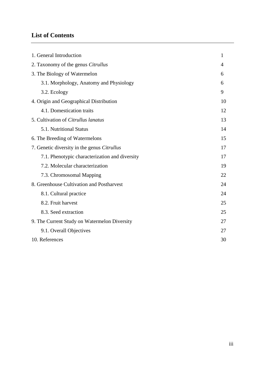# **List of Contents**

| 1. General Introduction                        | 1  |
|------------------------------------------------|----|
| 2. Taxonomy of the genus <i>Citrullus</i>      | 4  |
| 3. The Biology of Watermelon                   | 6  |
| 3.1. Morphology, Anatomy and Physiology        | 6  |
| 3.2. Ecology                                   | 9  |
| 4. Origin and Geographical Distribution        | 10 |
| 4.1. Domestication traits                      | 12 |
| 5. Cultivation of Citrullus lanatus            | 13 |
| 5.1. Nutritional Status                        | 14 |
| 6. The Breeding of Watermelons                 | 15 |
| 7. Genetic diversity in the genus Citrullus    | 17 |
| 7.1. Phenotypic characterization and diversity | 17 |
| 7.2. Molecular characterization                | 19 |
| 7.3. Chromosomal Mapping                       | 22 |
| 8. Greenhouse Cultivation and Postharvest      | 24 |
| 8.1. Cultural practice                         | 24 |
| 8.2. Fruit harvest                             | 25 |
| 8.3. Seed extraction                           | 25 |
| 9. The Current Study on Watermelon Diversity   | 27 |
| 9.1. Overall Objectives                        | 27 |
| 10. References                                 | 30 |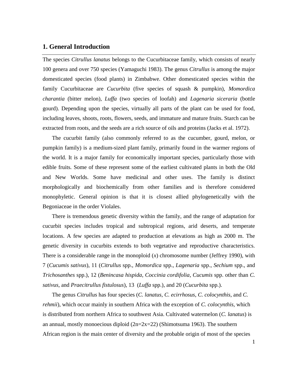# **1. General Introduction**

The species *Citrullus lanatus* belongs to the Cucurbitaceae family, which consists of nearly 100 genera and over 750 species (Yamaguchi 1983). The genus *Citrullus* is among the major domesticated species (food plants) in Zimbabwe. Other domesticated species within the family Cucurbitaceae are *Cucurbita* (five species of squash & pumpkin), *Momordica charantia* (bitter melon), *Luffa* (two species of loofah) and *Lagenaria siceraria* (bottle gourd). Depending upon the species, virtually all parts of the plant can be used for food, including leaves, shoots, roots, flowers, seeds, and immature and mature fruits. Starch can be extracted from roots, and the seeds are a rich source of oils and proteins (Jacks et al. 1972).

The cucurbit family (also commonly referred to as the cucumber, gourd, melon, or pumpkin family) is a medium-sized plant family, primarily found in the warmer regions of the world. It is a major family for economically important species, particularly those with edible fruits*.* Some of these represent some of the earliest cultivated plants in both the Old and New Worlds. Some have medicinal and other uses. The family is distinct morphologically and biochemically from other families and is therefore considered monophyletic. General opinion is that it is closest allied phylogenetically with the Begoniaceae in the order Violales.

 There is tremendous genetic diversity within the family, and the range of adaptation for cucurbit species includes tropical and subtropical regions, arid deserts, and temperate locations. A few species are adapted to production at elevations as high as 2000 m. The genetic diversity in cucurbits extends to both vegetative and reproductive characteristics. There is a considerable range in the monoploid (*x*) chromosome number (Jeffrey 1990), with 7 (*Cucumis sativus*), 11 (*Citrullus* spp., *Momordica* spp., *Lagenaria* spp., *Sechium* spp., and *Trichosanthes* spp.), 12 (*Benincasa hispida*, *Coccinia cordifolia*, *Cucumis* spp. other than *C. sativus*, and *Praecitrullus fistulosus*), 13 (*Luffa* spp.), and 20 (*Cucurbita* spp.).

 The genus *Citrullus* has four species (*C. lanatus*, *C. ecirrhosus*, *C. colocynthis*, and *C. rehmii*), which occur mainly in southern Africa with the exception of *C. colocynthis,* which is distributed from northern Africa to southwest Asia. Cultivated watermelon (*C. lanatus*) is an annual, mostly monoecious diploid  $(2n=2x=22)$  (Shimotsuma 1963). The southern African region is the main center of diversity and the probable origin of most of the species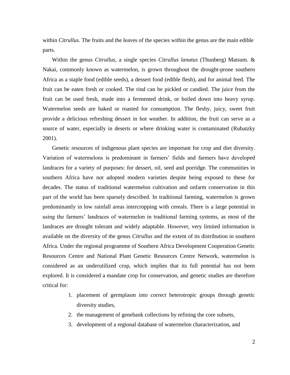within *Citrullus*. The fruits and the leaves of the species within the genus are the main edible parts.

 Within the genus *Citrullus*, a single species *Citrullus lanatus* (Thunberg) Matsum. & Nakai, commonly known as watermelon, is grown throughout the drought-prone southern Africa as a staple food (edible seeds), a dessert food (edible flesh), and for animal feed. The fruit can be eaten fresh or cooked. The rind can be pickled or candied. The juice from the fruit can be used fresh, made into a fermented drink, or boiled down into heavy syrup. Watermelon seeds are baked or roasted for consumption. The fleshy, juicy, sweet fruit provide a delicious refreshing dessert in hot weather. In addition, the fruit can serve as a source of water, especially in deserts or where drinking water is contaminated (Rubatzky 2001).

 Genetic resources of indigenous plant species are important for crop and diet diversity. Variation of watermelons is predominant in farmers' fields and farmers have developed landraces for a variety of purposes: for dessert, oil, seed and porridge. The communities in southern Africa have not adopted modern varieties despite being exposed to these for decades. The status of traditional watermelon cultivation and onfarm conservation in this part of the world has been sparsely described. In traditional farming, watermelon is grown predominantly in low rainfall areas intercropping with cereals. There is a large potential in using the farmers' landraces of watermelon in traditional farming systems, as most of the landraces are drought tolerant and widely adaptable. However, very limited information is available on the diversity of the genus *Citrullus* and the extent of its distribution in southern Africa. Under the regional programme of Southern Africa Development Cooperation Genetic Resources Centre and National Plant Genetic Resources Centre Network, watermelon is considered as an underutilized crop, which implies that its full potential has not been explored. It is considered a mandate crop for conservation, and genetic studies are therefore critical for:

- 1. placement of germplasm into correct heterotropic groups through genetic diversity studies,
- 2. the management of genebank collections by refining the core subsets,
- 3. development of a regional database of watermelon characterization, and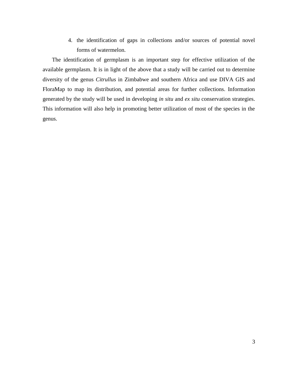4. the identification of gaps in collections and/or sources of potential novel forms of watermelon.

 The identification of germplasm is an important step for effective utilization of the available germplasm. It is in light of the above that a study will be carried out to determine diversity of the genus *Citrullus* in Zimbabwe and southern Africa and use DIVA GIS and FloraMap to map its distribution, and potential areas for further collections. Information generated by the study will be used in developing *in situ* and *ex situ* conservation strategies. This information will also help in promoting better utilization of most of the species in the genus.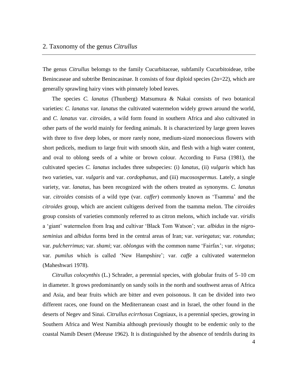The genus *Citrullus* belomgs to the family Cucurbitaceae, subfamily Cucurbitoideae, tribe Benincaseae and subtribe Benincasinae. It consists of four diploid species  $(2n=22)$ , which are generally sprawling hairy vines with pinnately lobed leaves.

 The species *C. lanatus* (Thunberg) Matsumura & Nakai consists of two botanical varieties: *C. lanatus* var. *lanatus* the cultivated watermelon widely grown around the world, and *C. lanatus* var. *citroides*, a wild form found in southern Africa and also cultivated in other parts of the world mainly for feeding animals. It is characterized by large green leaves with three to five deep lobes, or more rarely none, medium-sized monoecious flowers with short pedicels, medium to large fruit with smooth skin, and flesh with a high water content, and oval to oblong seeds of a white or brown colour. According to Fursa (1981), the cultivated species *C. lanatus* includes three subspecies: (i) *lanatus*, (ii) *vulgaris* which has two varieties, var. *vulgaris* and var. *cordophanus*, and (iii) *mucosospermus*. Lately, a single variety, var. *lanatus,* has been recognized with the others treated as synonyms. *C. lanatus* var. *citroides* consists of a wild type (var. *caffer*) commonly known as "Tsamma" and the *citroides* group, which are ancient cultigens derived from the tsamma melon. The *citroides* group consists of varieties commonly referred to as citron melons, which include var. *viridis* a "giant" watermelon from Iraq and cultivar "Black Tom Watson"; var. *albidus* in the *nigroseminius* and *albidus* forms bred in the central areas of Iran; var. *variegatus*; var. *rotundus*; var. *pulcherrimus*; var. *shami*; var. *oblongus* with the common name "Fairfax"; var. *virgatus*; var. *pumilus* which is called "New Hampshire"; var. *caffe* a cultivated watermelon (Maheshwari 1978).

 *Citrullus colocynthis* (L.) Schrader, a perennial species, with globular fruits of 5–10 cm in diameter. It grows predominantly on sandy soils in the north and southwest areas of Africa and Asia, and bear fruits which are bitter and even poisonous. It can be divided into two different races, one found on the Mediterranean coast and in Israel, the other found in the deserts of Negev and Sinai. *Citrullus ecirrhosus* Cogniaux, is a perennial species, growing in Southern Africa and West Namibia although previously thought to be endemic only to the coastal Namib Desert (Meeuse 1962). It is distinguished by the absence of tendrils during its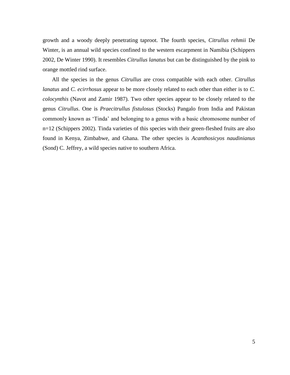growth and a woody deeply penetrating taproot. The fourth species, *Citrullus rehmii* De Winter, is an annual wild species confined to the western escarpment in Namibia (Schippers 2002, De Winter 1990). It resembles *Citrullus lanatus* but can be distinguished by the pink to orange mottled rind surface.

 All the species in the genus *Citrullus* are cross compatible with each other. *Citrullus lanatus* and *C. ecirrhosus* appear to be more closely related to each other than either is to *C. colocynthis* (Navot and Zamir 1987). Two other species appear to be closely related to the genus *Citrullus*. One is *Praecitrullus fistulosus* (Stocks) Pangalo from India and Pakistan commonly known as "Tinda" and belonging to a genus with a basic chromosome number of n=12 (Schippers 2002). Tinda varieties of this species with their green-fleshed fruits are also found in Kenya, Zimbabwe, and Ghana. The other species is *Acanthosicyos naudinianus* (Sond) C. Jeffrey, a wild species native to southern Africa.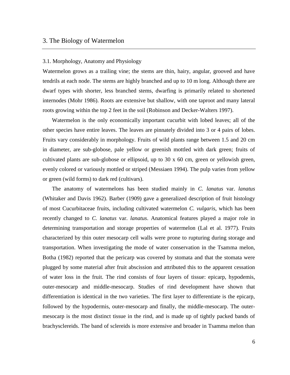# 3. The Biology of Watermelon

#### 3.1. Morphology, Anatomy and Physiology

Watermelon grows as a trailing vine; the stems are thin, hairy, angular, grooved and have tendrils at each node. The stems are highly branched and up to 10 m long. Although there are dwarf types with shorter, less branched stems, dwarfing is primarily related to shortened internodes (Mohr 1986). Roots are extensive but shallow, with one taproot and many lateral roots growing within the top 2 feet in the soil (Robinson and Decker-Walters 1997).

 Watermelon is the only economically important cucurbit with lobed leaves; all of the other species have entire leaves. The leaves are pinnately divided into 3 or 4 pairs of lobes. Fruits vary considerably in morphology. Fruits of wild plants range between 1.5 and 20 cm in diameter, are sub-globose, pale yellow or greenish mottled with dark green; fruits of cultivated plants are sub-globose or ellipsoid, up to 30 x 60 cm, green or yellowish green, evenly colored or variously mottled or striped (Messiaen 1994). The pulp varies from yellow or green (wild forms) to dark red (cultivars).

 The anatomy of watermelons has been studied mainly in *C. lanatus* var. *lanatus*  (Whitaker and Davis 1962). Barber (1909) gave a generalized description of fruit histology of most Cucurbitaceae fruits, including cultivated watermelon *C. vulgaris,* which has been recently changed to *C. lanatus* var. *lanatus*. Anatomical features played a major role in determining transportation and storage properties of watermelon (Lal et al. 1977). Fruits characterized by thin outer mesocarp cell walls were prone to rupturing during storage and transportation. When investigating the mode of water conservation in the Tsamma melon, Botha (1982) reported that the pericarp was covered by stomata and that the stomata were plugged by some material after fruit abscission and attributed this to the apparent cessation of water loss in the fruit. The rind consists of four layers of tissue: epicarp, hypodemis, outer-mesocarp and middle-mesocarp. Studies of rind development have shown that differentiation is identical in the two varieties. The first layer to differentiate is the epicarp, followed by the hypodermis, outer-mesocarp and finally, the middle-mesocarp. The outermesocarp is the most distinct tissue in the rind, and is made up of tightly packed bands of brachysclereids. The band of sclereids is more extensive and broader in Tsamma melon than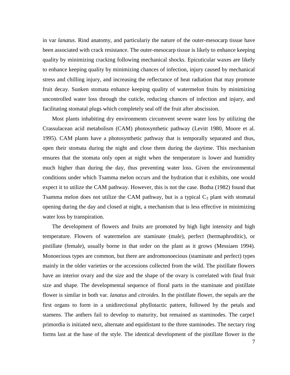in var *lanatus*. Rind anatomy, and particulariy the nature of the outer-mesocarp tissue have been associated with crack resistance. The outer-mesocarp tissue is likely to enhance keeping quality by minimizing cracking following mechanical shocks. Epicuticular waxes are likely to enhance keeping quality by minimizing chances of infection, injury caused by mechanical stress and chilling injury, and increasing the reflectance of heat radiation that may promote fruit decay. Sunken stomata enhance keeping quality of watermelon fruits by minimizing uncontrolled water loss through the cuticle, reducing chances of infection and injury, and facilitating stomatal plugs which completely seal off the fruit after abscission.

 Most plants inhabiting dry environments circumvent severe water loss by utilizing the Crassulacean acid metabolism (CAM) photosynthetic pathway (Levitt 1980, Moore et al. 1995). CAM plants have a photosynthetic pathway that is temporally separated and thus, open their stomata during the night and close them during the daytime. This mechanism ensures that the stomata only open at night when the temperature is lower and humidity much higher than during the day, thus preventing water loss. Given the environmental conditions under which Tsamma melon occurs and the hydration that it exhibits, one would expect it to utilize the CAM pathway. However, this is not the case. Botha (1982) found that Tsamma melon does not utilize the CAM pathway, but is a typical  $C_3$  plant with stomatal opening during the day and closed at night, a mechanism that is less effective in minimizing water loss by transpiration.

 The development of flowers and fruits are promoted by high light intensity and high temperature. Flowers of watermelon are staminate (male), perfect (hermaphroditic), or pistillate (female), usually borne in that order on the plant as it grows (Messiaen 1994). Monoecious types are common, but there are andromonoecious (staminate and perfect) types mainly in the older varieties or the accessions collected from the wild. The pistillate flowers have an interior ovary and the size and the shape of the ovary is correlated with final fruit size and shape. The developmental sequence of floral parts in the staminate and pistillate flower is similar in both var. *lanatus* and *citroides.* In the pistillate flower, the sepals are the first organs to form in a unidirectional phyllotactic pattern, followed by the petals and stamens. The anthers fail to develop to maturity, but remained as staminodes. The carpe1 primordia is initiated next, alternate and equidistant to the three staminodes. The nectary ring forms last at the base of the style. The identical development of the pistillate flower in the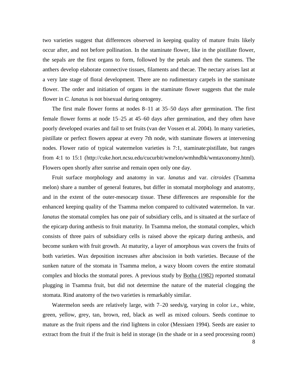two varieties suggest that differences observed in keeping quality of mature fruits likely occur after, and not before pollination. In the staminate flower, like in the pistillate flower, the sepals are the first organs to form, followed by the petals and then the stamens. The anthers develop elaborate connective tissues, filaments and thecae. The nectary arises last at a very late stage of floral development. There are no rudimentary carpels in the staminate flower. The order and initiation of organs in the staminate flower suggests that the male flower in *C*. *lanatus* is not bisexual during ontogeny.

 The first male flower forms at nodes 8–11 at 35–50 days after germination. The first female flower forms at node 15–25 at 45–60 days after germination, and they often have poorly developed ovaries and fail to set fruits (van der Vossen et al. 2004). In many varieties, pistillate or perfect flowers appear at every 7th node, with staminate flowers at intervening nodes. Flower ratio of typical watermelon varieties is 7:1, staminate:pistillate, but ranges from 4:1 to 15:1 (http://cuke.hort.ncsu.edu/cucurbit/wmelon/wmhndbk/wmtaxonomy.html). Flowers open shortly after sunrise and remain open only one day.

 Fruit surface morphology and anatomy in var. *lanatus* and var. *citroides* (Tsamma melon) share a number of general features, but differ in stomatal morphology and anatomy, and in the extent of the outer-mesocarp tissue. These differences are responsible for the enhanced keeping quality of the Tsamma melon compared to cultivated watermelon. In var. *lanatus* the stomatal complex has one pair of subsidiary cells, and is situated at the surface of the epicarp during anthesis to fruit maturity. In Tsamma melon, the stomatal complex, which consists of three pairs of subsidiary cells is raised above the epicarp during anthesis, and become sunken with fruit growth. At maturity, a layer of amorphous wax covers the fruits of both varieties. Wax deposition increases after abscission in both varieties. Because of the sunken nature of the stomata in Tsamma melon, a waxy bloom covers the entire stomatal complex and blocks the stomatal pores. A previous study by Botha (1982) reported stomatal plugging in Tsamma fruit, but did not determine the nature of the material clogging the stomata. Rind anatomy of the two varieties is remarkably similar.

 Watermelon seeds are relatively large, with 7–20 seeds/g, varying in color i.e., white, green, yellow, grey, tan, brown, red, black as well as mixed colours. Seeds continue to mature as the fruit ripens and the rind lightens in color (Messiaen 1994). Seeds are easier to extract from the fruit if the fruit is held in storage (in the shade or in a seed processing room)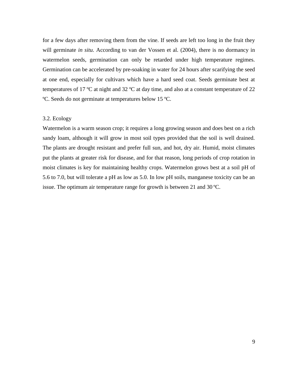for a few days after removing them from the vine. If seeds are left too long in the fruit they will germinate *in situ*. According to van der Vossen et al. (2004), there is no dormancy in watermelon seeds, germination can only be retarded under high temperature regimes. Germination can be accelerated by pre-soaking in water for 24 hours after scarifying the seed at one end, especially for cultivars which have a hard seed coat. Seeds germinate best at temperatures of 17 ºC at night and 32 ºC at day time, and also at a constant temperature of 22 ºC. Seeds do not germinate at temperatures below 15 ºC.

# 3.2. Ecology

Watermelon is a warm season crop; it requires a long growing season and does best on a rich sandy loam, although it will grow in most soil types provided that the soil is well drained. The plants are drought resistant and prefer full sun, and hot, dry air. Humid, moist climates put the plants at greater risk for disease, and for that reason, long periods of crop rotation in moist climates is key for maintaining healthy crops. Watermelon grows best at a soil pH of 5.6 to 7.0, but will tolerate a pH as low as 5.0. In low pH soils, manganese toxicity can be an issue. The optimum air temperature range for growth is between 21 and 30 ºC.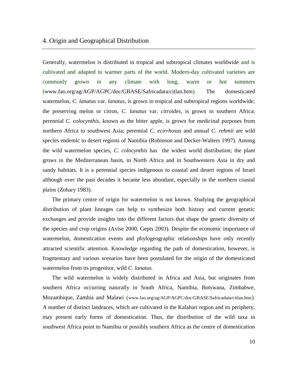# 4. Origin and Geographical Distribution

Generally, watermelon is distributed in tropical and subtropical climates worldwide and is cultivated and adapted to warmer parts of the world. Modern-day cultivated varieties are commonly grown in any climate with long, warm or hot summers (www.fao.org/ag/AGP/AGPC/doc/GBASE/Safricadata/citlan.htm). The domesticated watermelon, *C. lanatus* var. *lanatus*, is grown in tropical and subtropical regions worldwide; the preserving melon or citron, *C. lanatus* var. *citroides*, is grown in southern Africa; perennial *C. colocynthis*, known as the bitter apple, is grown for medicinal purposes from northern Africa to southwest Asia; perennial *C. ecirrhosus* and annual *C. rehmii* are wild species endemic to desert regions of Namibia (Robinson and Decker-Walters 1997). Among the wild watermelon species, *C. colocynthis* has the widest world distribution; the plant grows in the Mediterranean basin, in North Africa and in Southwestern Asia in dry and sandy habitats. It is a perennial species indigenous to coastal and desert regions of Israel although over the past decades it became less abundant, especially in the northern coastal plains (Zohary 1983).

 The primary centre of origin for watermelon is not known. Studying the geographical distribution of plant lineages can help to synthesize both history and current genetic exchanges and provide insights into the different factors that shape the genetic diversity of the species and crop origins (Avise 2000, Gepts 2003). Despite the economic importance of watermelon, domestication events and phylogeographic relationships have only recently attracted scientific attention. Knowledge regarding the path of domestication, however, is fragmentary and various scenarios have been postulated for the origin of the domesticated watermelon from its progenitor, wild *C. lanatus.* 

The wild watermelon is widely distributed in Africa and Asia, but originates from southern Africa occurring naturally in South Africa, Namibia, Botswana, Zimbabwe, Mozambique, Zambia and Malawi (www.fao.org/ag/AGP/AGPC/doc/GBASE/Safricadata/citlan.htm). A number of distinct landraces, which are cultivated in the Kalahari region and its periphery, may present early forms of domestication. Thus, the distribution of the wild taxa in southwest Africa point to Namibia or possibly southern Africa as the centre of domestication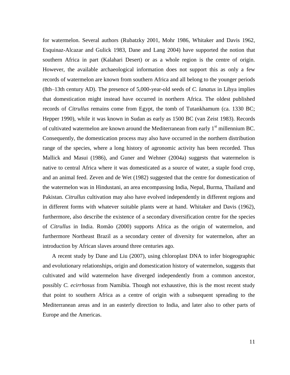for watermelon. Several authors (Rubatzky 2001, Mohr 1986, Whitaker and Davis 1962, Esquinaz-Alcazar and Gulick 1983, Dane and Lang 2004) have supported the notion that southern Africa in part (Kalahari Desert) or as a whole region is the centre of origin. However, the available archaeological information does not support this as only a few records of watermelon are known from southern Africa and all belong to the younger periods (8th–13th century AD). The presence of 5,000-year-old seeds of *C. lanatus* in Libya implies that domestication might instead have occurred in northern Africa. The oldest published records of *Citrullus* remains come from Egypt, the tomb of Tutankhamum (ca. 1330 BC; Hepper 1990), while it was known in Sudan as early as 1500 BC (van Zeist 1983). Records of cultivated watermelon are known around the Mediterranean from early  $1<sup>st</sup>$  millennium BC. Consequently, the domestication process may also have occurred in the northern distribution range of the species, where a long history of agronomic activity has been recorded. Thus Mallick and Masui (1986), and Guner and Wehner (2004a) suggests that watermelon is native to central Africa where it was domesticated as a source of water, a staple food crop, and an animal feed. Zeven and de Wet (1982) suggested that the centre for domestication of the watermelon was in Hindustani, an area encompassing India, Nepal, Burma, Thailand and Pakistan. *Citrullus* cultivation may also have evolved independently in different regions and in different forms with whatever suitable plants were at hand. Whitaker and Davis (1962), furthermore, also describe the existence of a secondary diversification centre for the species of *Citrullus* in India. Romão (2000) supports Africa as the origin of watermelon, and furthermore Northeast Brazil as a secondary center of diversity for watermelon, after an introduction by African slaves around three centuries ago.

 A recent study by Dane and Liu (2007), using chloroplast DNA to infer biogeographic and evolutionary relationships, origin and domestication history of watermelon, suggests that cultivated and wild watermelon have diverged independently from a common ancestor, possibly *C. ecirrhosus* from Namibia. Though not exhaustive, this is the most recent study that point to southern Africa as a centre of origin with a subsequent spreading to the Mediterranean areas and in an easterly direction to India, and later also to other parts of Europe and the Americas.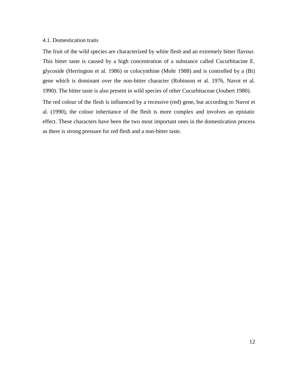## 4.1. Domestication traits

The fruit of the wild species are characterized by white flesh and an extremely bitter flavour. This bitter taste is caused by a high concentration of a substance called Cucurbitacine E. glycoside (Herrington et al. 1986) or colocynthine (Mohr 1988) and is controlled by a (Bi) gene which is dominant over the non-bitter character (Robinson et al. 1976, Navot et al. 1990). The bitter taste is also present in wild species of other Cucurbitaceae (Joubert 1980).

The red colour of the flesh is influenced by a recessive (red) gene, but according to Navot et al. (1990), the colour inheritance of the flesh is more complex and involves an epistatic effect. These characters have been the two most important ones in the domestication process as there is strong pressure for red flesh and a non-bitter taste.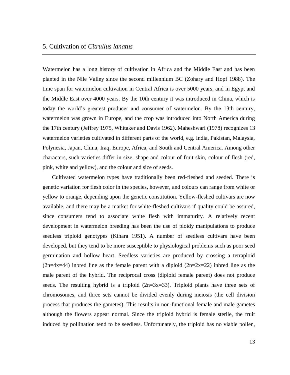Watermelon has a long history of cultivation in Africa and the Middle East and has been planted in the Nile Valley since the second millennium BC (Zohary and Hopf 1988). The time span for watermelon cultivation in Central Africa is over 5000 years, and in Egypt and the Middle East over 4000 years. By the 10th century it was introduced in China, which is today the world"s greatest producer and consumer of watermelon. By the 13th century, watermelon was grown in Europe, and the crop was introduced into North America during the 17th century (Jeffrey 1975, Whitaker and Davis 1962). Maheshwari (1978) recognizes 13 watermelon varieties cultivated in different parts of the world, e.g. India, Pakistan, Malaysia, Polynesia, Japan, China, Iraq, Europe, Africa, and South and Central America. Among other characters, such varieties differ in size, shape and colour of fruit skin, colour of flesh (red, pink, white and yellow), and the colour and size of seeds.

 Cultivated watermelon types have traditionally been red-fleshed and seeded. There is genetic variation for flesh color in the species, however, and colours can range from white or yellow to orange, depending upon the genetic constitution. Yellow-fleshed cultivars are now available, and there may be a market for white-fleshed cultivars if quality could be assured, since consumers tend to associate white flesh with immaturity. A relatively recent development in watermelon breeding has been the use of ploidy manipulations to produce seedless triploid genotypes (Kihara 1951). A number of seedless cultivars have been developed, but they tend to be more susceptible to physiological problems such as poor seed germination and hollow heart. Seedless varieties are produced by crossing a tetraploid  $(2n=4x=44)$  inbred line as the female parent with a diploid  $(2n=2x=22)$  inbred line as the male parent of the hybrid. The reciprocal cross (diploid female parent) does not produce seeds. The resulting hybrid is a triploid  $(2n=3x=33)$ . Triploid plants have three sets of chromosomes, and three sets cannot be divided evenly during meiosis (the cell division process that produces the gametes). This results in non-functional female and male gametes although the flowers appear normal. Since the triploid hybrid is female sterile, the fruit induced by pollination tend to be seedless. Unfortunately, the triploid has no viable pollen,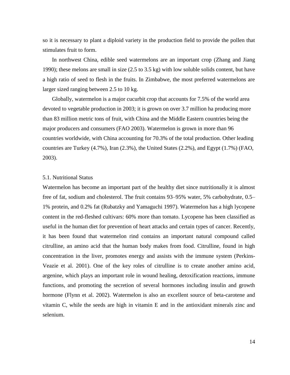so it is necessary to plant a diploid variety in the production field to provide the pollen that stimulates fruit to form.

 In northwest China, edible seed watermelons are an important crop (Zhang and Jiang 1990); these melons are small in size (2.5 to 3.5 kg) with low soluble solids content, but have a high ratio of seed to flesh in the fruits. In Zimbabwe, the most preferred watermelons are larger sized ranging between 2.5 to 10 kg.

 Globally, watermelon is a major cucurbit crop that accounts for 7.5% of the world area devoted to vegetable production in 2003; it is grown on over 3.7 million ha producing more than 83 million metric tons of fruit, with China and the Middle Eastern countries being the major producers and consumers (FAO 2003). Watermelon is grown in more than 96 countries worldwide, with China accounting for 70.3% of the total production. Other leading countries are Turkey (4.7%), Iran (2.3%), the United States (2.2%), and Egypt (1.7%) (FAO, 2003).

# 5.1. Nutritional Status

Watermelon has become an important part of the healthy diet since nutritionally it is almost free of fat, sodium and cholesterol. The fruit contains 93–95% water, 5% carbohydrate, 0.5– 1% protein, and 0.2% fat (Rubatzky and Yamaguchi 1997). Watermelon has a high lycopene content in the red-fleshed cultivars: 60% more than tomato. Lycopene has been classified as useful in the human diet for prevention of heart attacks and certain types of cancer. Recently, it has been found that watermelon rind contains an important natural compound called citrulline, an amino acid that the human body makes from food. Citrulline, found in high concentration in the liver, promotes energy and assists with the immune system (Perkins-Veazie et al. 2001). One of the key roles of citrulline is to create another amino acid, argenine, which plays an important role in wound healing, detoxification reactions, immune functions, and promoting the secretion of several hormones including insulin and growth hormone (Flynn et al. 2002). Watermelon is also an excellent source of beta-carotene and vitamin C, while the seeds are high in vitamin E and in the antioxidant minerals zinc and selenium.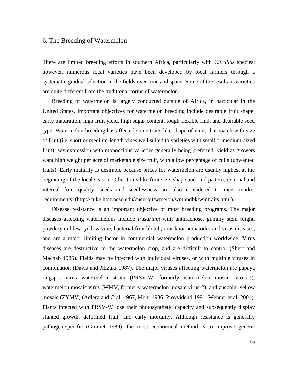There are limited breeding efforts in southern Africa, particularly with *Citrullus* species; however, numerous local varieties have been developed by local farmers through a systematic gradual selection in the fields over time and space. Some of the resultant varieties are quite different from the traditional forms of watermelon.

 Breeding of watermelon is largely conducted outside of Africa, in particular in the United States. Important objectives for watermelon breeding include desirable fruit shape, early maturation, high fruit yield, high sugar content, tough flexible rind, and desirable seed type. Watermelon breeding has affected some traits like shape of vines that match with size of fruit (i.e. short or medium-length vines well suited to varieties with small or medium-sized fruit); sex expression with monoecious varieties generally being preferred; yield as growers want high weight per acre of marketable size fruit, with a low percentage of culls (unwanted fruits). Early maturity is desirable because prices for watermelon are usually highest at the beginning of the local season. Other traits like fruit size, shape and rind pattern, external and internal fruit quality, seeds and seedlessness are also considered to meet market requirements. (http://cuke.hort.ncsu.edu/cucurbit/wmelon/wmhndbk/wmtraits.html).

 Disease resistance is an important objective of most breeding programs. The major diseases affecting watermelons include *Fusarium* wilt**,** anthracnose**,** gummy stem blight, powdery mildew, yellow vine, bacterial fruit blotch**,** root-knot nematodes and virus diseases, and are a major limiting factor in commercial watermelon production worldwide. Virus diseases are destructive to the watermelon crop, and are difficult to control (Sherf and Macnab 1986). Fields may be infected with individual viruses, or with multiple viruses in combination (Davis and Mizuki 1987). The major viruses affecting watermelon are papaya ringspot virus watermelon strain (PRSV-W, formerly watermelon mosaic virus-1), watermelon mosaic virus (WMV, formerly watermelon mosaic virus-2), and zucchini yellow mosaic (ZYMV) (Adlerz and Crall 1967, Mohr 1986, Provvidenti 1991, Wehner et al. 2001). Plants infected with PRSV-W lose their photosynthetic capacity and subsequently display stunted growth, deformed fruit, and early mortality. Although resistance is generally pathogen-specific (Grumet 1989), the most economical method is to improve genetic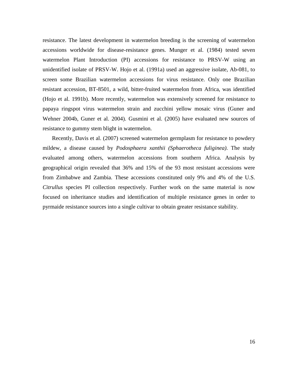resistance. The latest development in watermelon breeding is the screening of watermelon accessions worldwide for disease-resistance genes. Munger et al. (1984) tested seven watermelon Plant Introduction (PI) accessions for resistance to PRSV-W using an unidentified isolate of PRSV-W. Hojo et al. (1991a) used an aggressive isolate, Ab-081, to screen some Brazilian watermelon accessions for virus resistance. Only one Brazilian resistant accession, BT-8501, a wild, bitter-fruited watermelon from Africa, was identified (Hojo et al. 1991b). More recently, watermelon was extensively screened for resistance to papaya ringspot virus watermelon strain and zucchini yellow mosaic virus (Guner and Wehner 2004b, Guner et al. 2004). Gusmini et al. (2005) have evaluated new sources of resistance to gummy stem blight in watermelon.

 Recently, Davis et al. (2007) screened watermelon germplasm for resistance to powdery mildew, a disease caused by *Podosphaera xanthii (Sphaerotheca fuliginea)*. The study evaluated among others, watermelon accessions from southern Africa. Analysis by geographical origin revealed that 36% and 15% of the 93 most resistant accessions were from Zimbabwe and Zambia. These accessions constituted only 9% and 4% of the U.S. *Citrullus* species PI collection respectively. Further work on the same material is now focused on inheritance studies and identification of multiple resistance genes in order to pyrmaide resistance sources into a single cultivar to obtain greater resistance stability.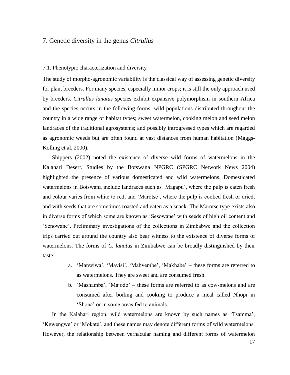# 7. Genetic diversity in the genus *Citrullus*

#### 7.1. Phenotypic characterization and diversity

The study of morpho-agronomic variability is the classical way of assessing genetic diversity for plant breeders. For many species, especially minor crops; it is still the only approach used by breeders. *Citrullus lanatus* species exhibit expansive polymorphism in southern Africa and the species occurs in the following forms: wild populations distributed throughout the country in a wide range of habitat types; sweet watermelon, cooking melon and seed melon landraces of the traditional agrosystems; and possibly introgressed types which are regarded as agronomic weeds but are often found at vast distances from human habitation (Maggs-Kolling et al. 2000).

 Shippers (2002) noted the existence of diverse wild forms of watermelons in the Kalahari Desert. Studies by the Botswana NPGRC (SPGRC Network News 2004) highlighted the presence of various domesticated and wild watermelons. Domesticated watermelons in Botswana include landraces such as "Magapu", where the pulp is eaten fresh and colour varies from white to red, and 'Marotse', where the pulp is cooked fresh or dried, and with seeds that are sometimes roasted and eaten as a snack. The Marotse type exists also in diverse forms of which some are known as "Sesowane" with seeds of high oil content and "Senowane". Preliminary investigations of the collections in Zimbabwe and the collection trips carried out around the country also bear witness to the existence of diverse forms of watermelons. The forms of *C. lanatus* in Zimbabwe can be broadly distinguished by their taste:

- a. 'Manwiwa', 'Mavisi', 'Mabvembe', 'Makhabe' these forms are referred to as watermelons. They are sweet and are consumed fresh.
- b. "Mashamba", "Majodo" these forms are referred to as cow-melons and are consumed after boiling and cooking to produce a meal called Nhopi in "Shona" or in some areas fed to animals.

In the Kalahari region, wild watermelons are known by such names as 'Tsamma', "Kgwengwe" or "Mokate", and these names may denote different forms of wild watermelons. However, the relationship between vernacular naming and different forms of watermelon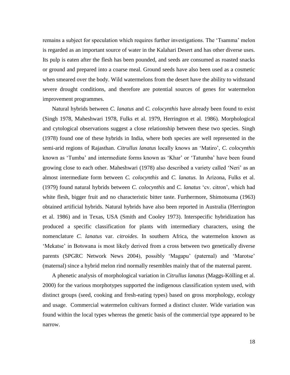remains a subject for speculation which requires further investigations. The 'Tsamma' melon is regarded as an important source of water in the Kalahari Desert and has other diverse uses. Its pulp is eaten after the flesh has been pounded, and seeds are consumed as roasted snacks or ground and prepared into a coarse meal. Ground seeds have also been used as a cosmetic when smeared over the body. Wild watermelons from the desert have the ability to withstand severe drought conditions, and therefore are potential sources of genes for watermelon improvement programmes.

 Natural hybrids between *C. lanatus* and *C. colocynthis* have already been found to exist (Singh 1978, Maheshwari 1978, Fulks et al. 1979, Herrington et al. 1986). Morphological and cytological observations suggest a close relationship between these two species. Singh (1978) found one of these hybrids in India, where both species are well represented in the semi-arid regions of Rajasthan. *Citrullus lanatus* locally knows an "Matiro", *C. colocynthis* known as "Tumba" and intermediate forms known as "Khar" or "Tatumba" have been found growing close to each other. Maheshwari (1978) also described a variety called "Neri" as an almost intermediate form between *C. colocynthis* and *C. lanatus.* In Arizona, Fulks et al. (1979) found natural hybrids between *C. colocynthis* and *C. lanatus* "cv. citron", which had white flesh, bigger fruit and no characteristic bitter taste. Furthermore, Shimotsuma (1963) obtained artificial hybrids. Natural hybrids have also been reported in Australia (Herrington et al. 1986) and in Texas, USA (Smith and Cooley 1973). Interspecific hybridization has produced a specific classification for plants with intermediary characters, using the nomenclature *C. lanatus* var. *citroides*. In southern Africa, the watermelon known as "Mekatse" in Botswana is most likely derived from a cross between two genetically diverse parents (SPGRC Network News 2004), possibly "Magapu" (paternal) and "Marotse" (maternal) since a hybrid melon rind normally resembles mainly that of the maternal parent.

 A phenetic analysis of morphological variation in *Citrullus lanatus* (Maggs-Kölling et al. 2000) for the various morphotypes supported the indigenous classification system used, with distinct groups (seed, cooking and fresh-eating types) based on gross morphology, ecology and usage. Commercial watermelon cultivars formed a distinct cluster. Wide variation was found within the local types whereas the genetic basis of the commercial type appeared to be narrow.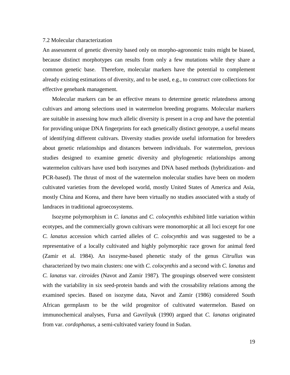# 7.2 Molecular characterization

An assessment of genetic diversity based only on morpho-agronomic traits might be biased, because distinct morphotypes can results from only a few mutations while they share a common genetic base. Therefore, molecular markers have the potential to complement already existing estimations of diversity, and to be used, e.g., to construct core collections for effective genebank management.

 Molecular markers can be an effective means to determine genetic relatedness among cultivars and among selections used in watermelon breeding programs. Molecular markers are suitable in assessing how much allelic diversity is present in a crop and have the potential for providing unique DNA fingerprints for each genetically distinct genotype, a useful means of identifying different cultivars. Diversity studies provide useful information for breeders about genetic relationships and distances between individuals. For watermelon, previous studies designed to examine genetic diversity and phylogenetic relationships among watermelon cultivars have used both isozymes and DNA based methods (hybridization- and PCR-based). The thrust of most of the watermelon molecular studies have been on modern cultivated varieties from the developed world, mostly United States of America and Asia, mostly China and Korea, and there have been virtually no studies associated with a study of landraces in traditional agroecosystems.

 Isozyme polymorphism in *C. lanatus* and *C. colocynthis* exhibited little variation within ecotypes, and the commercially grown cultivars were monomorphic at all loci except for one *C. lanatus* accession which carried alleles of *C. colocynthis* and was suggested to be a representative of a locally cultivated and highly polymorphic race grown for animal feed (Zamir et al. 1984). An isozyme-based phenetic study of the genus *Citrullus* was characterized by two main clusters: one with *C. colocynthis* and a second with *C. lanatus* and *C. lanatus* var. *citroides* (Navot and Zamir 1987)*.* The groupings observed were consistent with the variability in six seed-protein bands and with the crossability relations among the examined species. Based on isozyme data, Navot and Zamir (1986) considered South African germplasm to be the wild progenitor of cultivated watermelon. Based on immunochemical analyses, Fursa and Gavrilyuk (1990) argued that *C. lanatus* originated from var. *cordophanus*, a semi-cultivated variety found in Sudan.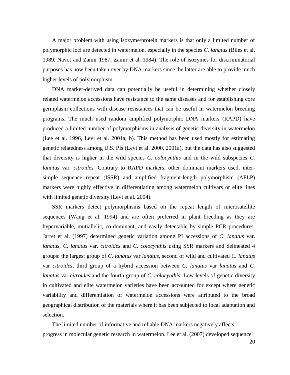A major problem with using isozyme/protein markers is that only a limited number of polymorphic loci are detected in watermelon, especially in the species *C. lanatus* (Biles et al. 1989, Navot and Zamir 1987, Zamir et al. 1984). The role of isozymes for discriminatorial purposes has now been taken over by DNA markers since the latter are able to provide much higher levels of polymorphism.

 DNA marker-derived data can potentially be useful in determining whether closely related watermelon accessions have resistance to the same diseases and for establishing core germplasm collections with disease resistances that can be useful in watermelon breeding programs. The much used random amplified polymorphic DNA markers (RAPD) have produced a limited number of polymorphisms in analysis of genetic diversity in watermelon (Lee et al. 1996, Levi et al. 2001a, b). This method has been used mostly for estimating genetic relatedness among U.S. PIs (Levi et al. 2000, 2001a), but the data has also suggested that diversity is higher in the wild species *C. colocynthis* and in the wild subspecies *C. lanatus* var. *citroides.* Contrary to RAPD markers, other dominant markers used, intersimple sequence repeat (ISSR) and amplified fragment-length polymorphism (AFLP) markers were highly effective in differentiating among watermelon cultivars or elite lines with limited genetic diversity (Levi et al. 2004).

SSR markers detect polymorphisms based on the repeat length of microsatellite sequences (Wang et al. 1994) and are often preferred in plant breeding as they are hypervariable, mutiallelic, co-dominant, and easily detectable by simple PCR procedures. Jarret et al. (1997) determined genetic variation among PI accessions of *C*. *lanatus* var. *lanatus*, *C*. *lanatus* var. *citroides* and *C*. *colocynthis* using SSR markers and delineated 4 groups: the largest group of *C. lanatus* var *lanatus*, second of wild and cultivated *C. lanatus* var *citroides*, third group of a hybrid accession between *C. lanatus* var *lanatus* and *C. lanatus* var *citroides* and the fourth group of *C. colocynthis*. Low levels of genetic diversity in cultivated and elite watermelon varieties have been accounted for except where genetic variability and differentiation of watermelon accessions were attributed to the broad geographical distribution of the materials where it has been subjected to local adaptation and selection.

 The limited number of informative and reliable DNA markers negatively affects progress in molecular genetic research in watermelon. Lee et al. (2007) developed sequence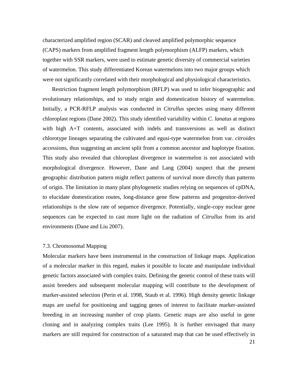characterized amplified region (SCAR) and cleaved amplified polymorphic sequence (CAPS) markers from amplified fragment length polymorphism (ALFP) markers, which together with SSR markers, were used to estimate genetic diversity of commercial varieties of watermelon. This study differentiated Korean watermelons into two major groups which were not significantly correlated with their morphological and physiological characteristics.

 Restriction fragment length polymorphism (RFLP) was used to infer biogeographic and evolutionary relationships, and to study origin and domestication history of watermelon. Initially, a PCR-RFLP analysis was conducted in *Citrullus* species using many different chloroplast regions (Dane 2002). This study identified variability within *C. lanatus* at regions with high A+T contents, associated with indels and transversions as well as distinct chlorotype lineages separating the cultivated and egusi-type watermelon from var. *citroides* accessions, thus suggesting an ancient split from a common ancestor and haplotype fixation. This study also revealed that chloroplast divergence in watermelon is not associated with morphological divergence. However, Dane and Lang (2004) suspect that the present geographic distribution pattern might reflect patterns of survival more directly than patterns of origin. The limitation in many plant phylogenetic studies relying on sequences of cpDNA, to elucidate domestication routes, long-distance gene flow patterns and progenitor-derived relationships is the slow rate of sequence divergence. Potentially, single-copy nuclear gene sequences can be expected to cast more light on the radiation of *Citrullus* from its arid environments (Dane and Liu 2007).

#### 7.3. Chromosomal Mapping

Molecular markers have been instrumental in the construction of linkage maps. Application of a molecular marker in this regard, makes it possible to locate and manipulate individual genetic factors associated with complex traits. Defining the genetic control of these traits will assist breeders and subsequent molecular mapping will contribute to the development of marker-assisted selection (Perin et al. 1998, Staub et al. 1996). High density genetic linkage maps are useful for positioning and tagging genes of interest to facilitate marker-assisted breeding in an increasing number of crop plants. Genetic maps are also useful in gene cloning and in analyzing complex traits (Lee 1995). It is further envisaged that many markers are still required for construction of a saturated map that can be used effectively in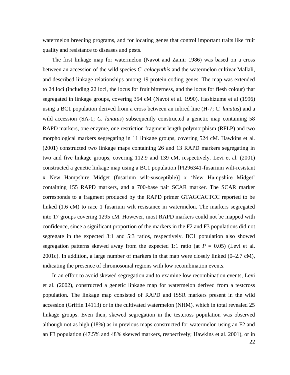watermelon breeding programs, and for locating genes that control important traits like fruit quality and resistance to diseases and pests.

 The first linkage map for watermelon (Navot and Zamir 1986) was based on a cross between an accession of the wild species *C. colocynthis* and the watermelon cultivar Mallali, and described linkage relationships among 19 protein coding genes. The map was extended to 24 loci (including 22 loci, the locus for fruit bitterness, and the locus for flesh colour) that segregated in linkage groups, covering 354 cM (Navot et al. 1990). Hashizume et al (1996) using a BC1 population derived from a cross between an inbred line (H-7; *C. lanatus*) and a wild accession (SA-1; *C. lanatus*) subsequently constructed a genetic map containing 58 RAPD markers, one enzyme, one restriction fragment length polymorphism (RFLP) and two morphological markers segregating in 11 linkage groups, covering 524 cM. Hawkins et al. (2001) constructed two linkage maps containing 26 and 13 RAPD markers segregating in two and five linkage groups, covering 112.9 and 139 cM, respectively. Levi et al. (2001) constructed a genetic linkage map using a BC1 population [PI296341-fusarium wilt-resistant x New Hampshire Midget (fusarium wilt-susceptible)] x "New Hampshire Midget" containing 155 RAPD markers, and a 700-base pair SCAR marker. The SCAR marker corresponds to a fragment produced by the RAPD primer GTAGCACTCC reported to be linked (1.6 cM) to race 1 fusarium wilt resistance in watermelon. The markers segregated into 17 groups covering 1295 cM. However, most RAPD markers could not be mapped with confidence, since a significant proportion of the markers in the F2 and F3 populations did not segregate in the expected 3:1 and 5:3 ratios, respectively. BC1 population also showed segregation patterns skewed away from the expected 1:1 ratio (at  $P = 0.05$ ) (Levi et al. 2001c). In addition, a large number of markers in that map were closely linked  $(0-2.7 \text{ cM})$ , indicating the presence of chromosomal regions with low recombination events.

 In an effort to avoid skewed segregation and to examine low recombination events, Levi et al. (2002), constructed a genetic linkage map for watermelon derived from a testcross population. The linkage map consisted of RAPD and ISSR markers present in the wild accession (Griffin 14113) or in the cultivated watermelon (NHM), which in total revealed 25 linkage groups. Even then, skewed segregation in the testcross population was observed although not as high (18%) as in previous maps constructed for watermelon using an F2 and an F3 population (47.5% and 48% skewed markers, respectively; Hawkins et al. 2001), or in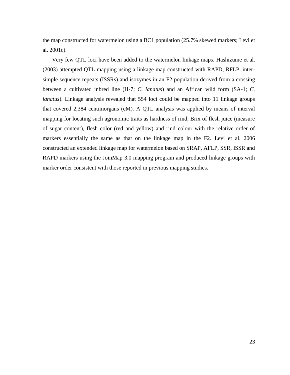the map constructed for watermelon using a BC1 population (25.7% skewed markers; Levi et al. 2001c).

 Very few QTL loci have been added to the watermelon linkage maps. Hashizume et al. (2003) attempted QTL mapping using a linkage map constructed with RAPD, RFLP, intersimple sequence repeats (ISSRs) and isozymes in an F2 population derived from a crossing between a cultivated inbred line (H-7; *C. lanatus*) and an African wild form (SA-1; *C. lanatus*). Linkage analysis revealed that 554 loci could be mapped into 11 linkage groups that covered 2,384 centimorgans (cM). A QTL analysis was applied by means of interval mapping for locating such agronomic traits as hardness of rind, Brix of flesh juice (measure of sugar content), flesh color (red and yellow) and rind colour with the relative order of markers essentially the same as that on the linkage map in the F2. Levi et al. 2006 constructed an extended linkage map for watermelon based on SRAP, AFLP, SSR, ISSR and RAPD markers using the JoinMap 3.0 mapping program and produced linkage groups with marker order consistent with those reported in previous mapping studies.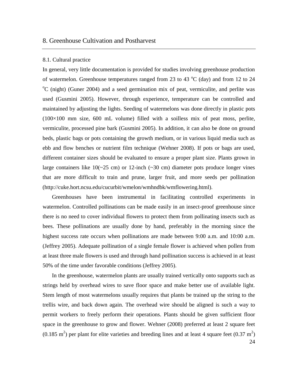# 8. Greenhouse Cultivation and Postharvest

# 8.1. Cultural practice

In general, very little documentation is provided for studies involving greenhouse production of watermelon. Greenhouse temperatures ranged from 23 to 43  $^{\circ}$ C (day) and from 12 to 24  $\rm{^oC}$  (night) (Guner 2004) and a seed germination mix of peat, vermiculite, and perlite was used (Gusmini 2005). However, through experience, temperature can be controlled and maintained by adjusting the lights. Seeding of watermelons was done directly in plastic pots  $(100\times100$  mm size, 600 mL volume) filled with a soilless mix of peat moss, perlite, vermiculite, processed pine bark (Gusmini 2005). In addition, it can also be done on ground beds, plastic bags or pots containing the growth medium, or in various liquid media such as ebb and flow benches or nutrient film technique (Wehner 2008). If pots or bags are used, different container sizes should be evaluated to ensure a proper plant size. Plants grown in large containers like  $10(-25 \text{ cm})$  or 12-inch  $(-30 \text{ cm})$  diameter pots produce longer vines that are more difficult to train and prune, larger fruit, and more seeds per pollination (http://cuke.hort.ncsu.edu/cucurbit/wmelon/wmhndbk/wmflowering.html).

Greenhouses have been instrumental in facilitating controlled experiments in watermelon. Controlled pollinations can be made easily in an insect-proof greenhouse since there is no need to cover individual flowers to protect them from pollinating insects such as bees. These pollinations are usually done by hand, preferably in the morning since the highest success rate occurs when pollinations are made between 9:00 a.m. and 10:00 a.m. (Jeffrey 2005). Adequate pollination of a single female flower is achieved when pollen from at least three male flowers is used and through hand pollination success is achieved in at least 50% of the time under favorable conditions (Jeffrey 2005).

In the greenhouse, watermelon plants are usually trained vertically onto supports such as strings held by overhead wires to save floor space and make better use of available light. Stem length of most watermelons usually requires that plants be trained up the string to the trellis wire, and back down again. The overhead wire should be aligned is such a way to permit workers to freely perform their operations. Plants should be given sufficient floor space in the greenhouse to grow and flower. Wehner (2008) preferred at least 2 square feet  $(0.185 \text{ m}^2)$  per plant for elite varieties and breeding lines and at least 4 square feet  $(0.37 \text{ m}^2)$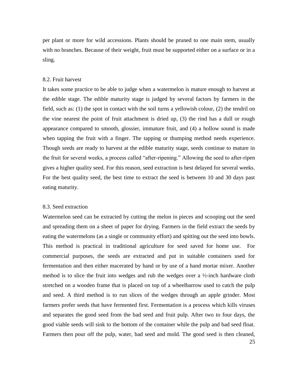per plant or more for wild accessions. Plants should be pruned to one main stem, usually with no branches. Because of their weight, fruit must be supported either on a surface or in a sling.

# 8.2. Fruit harvest

It takes some practice to be able to judge when a watermelon is mature enough to harvest at the edible stage. The edible maturity stage is judged by several factors by farmers in the field, such as: (1) the spot in contact with the soil turns a yellowish colour, (2) the tendril on the vine nearest the point of fruit attachment is dried up, (3) the rind has a dull or rough appearance compared to smooth, glossier, immature fruit, and (4) a hollow sound is made when tapping the fruit with a finger. The tapping or thumping method needs experience. Though seeds are ready to harvest at the edible maturity stage, seeds continue to mature in the fruit for several weeks, a process called "after-ripening." Allowing the seed to after-ripen gives a higher quality seed. For this reason, seed extraction is best delayed for several weeks. For the best quality seed, the best time to extract the seed is between 10 and 30 days past eating maturity.

#### 8.3. Seed extraction

Watermelon seed can be extracted by cutting the melon in pieces and scooping out the seed and spreading them on a sheet of paper for drying. Farmers in the field extract the seeds by eating the watermelons (as a single or community effort) and spitting out the seed into bowls. This method is practical in traditional agriculture for seed saved for home use. For commercial purposes, the seeds are extracted and put in suitable containers used for fermentation and then either macerated by hand or by use of a hand mortar mixer. Another method is to slice the fruit into wedges and rub the wedges over a ½-inch hardware cloth stretched on a wooden frame that is placed on top of a wheelbarrow used to catch the pulp and seed. A third method is to run slices of the wedges through an apple grinder. Most farmers prefer seeds that have fermented first. Fermentation is a process which kills viruses and separates the good seed from the bad seed and fruit pulp. After two to four days, the good viable seeds will sink to the bottom of the container while the pulp and bad seed float. Farmers then pour off the pulp, water, bad seed and mold. The good seed is then cleaned,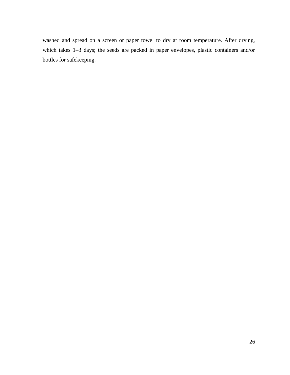washed and spread on a screen or paper towel to dry at room temperature. After drying, which takes 1–3 days; the seeds are packed in paper envelopes, plastic containers and/or bottles for safekeeping.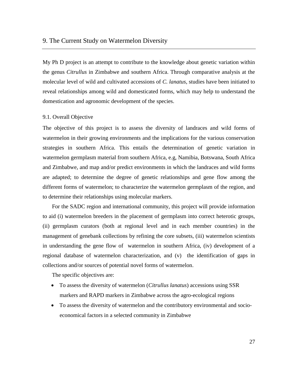My Ph D project is an attempt to contribute to the knowledge about genetic variation within the genus *Citrullus* in Zimbabwe and southern Africa. Through comparative analysis at the molecular level of wild and cultivated accessions of *C. lanatus*, studies have been initiated to reveal relationships among wild and domesticated forms, which may help to understand the domestication and agronomic development of the species.

#### 9.1. Overall Objective

The objective of this project is to assess the diversity of landraces and wild forms of watermelon in their growing environments and the implications for the various conservation strategies in southern Africa. This entails the determination of genetic variation in watermelon germplasm material from southern Africa, e.g, Namibia, Botswana, South Africa and Zimbabwe, and map and/or predict environments in which the landraces and wild forms are adapted; to determine the degree of genetic relationships and gene flow among the different forms of watermelon; to characterize the watermelon germplasm of the region, and to determine their relationships using molecular markers.

 For the SADC region and international community, this project will provide information to aid (i) watermelon breeders in the placement of germplasm into correct heterotic groups, (ii) germplasm curators (both at regional level and in each member countries) in the management of genebank collections by refining the core subsets, (iii) watermelon scientists in understanding the gene flow of watermelon in southern Africa, (iv) development of a regional database of watermelon characterization, and (v) the identification of gaps in collections and/or sources of potential novel forms of watermelon.

The specific objectives are:

- To assess the diversity of watermelon (*Citrullus lanatus*) accessions using SSR markers and RAPD markers in Zimbabwe across the agro-ecological regions
- To assess the diversity of watermelon and the contributory environmental and socioeconomical factors in a selected community in Zimbabwe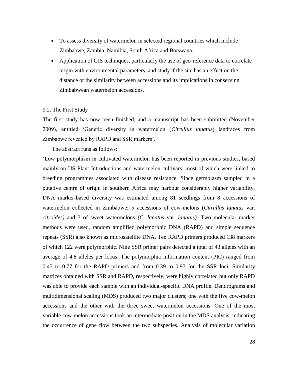- To assess diversity of watermelon in selected regional countries which include Zimbabwe, Zambia, Namibia, South Africa and Botswana.
- Application of GIS techniques, particularly the use of geo-reference data to correlate origin with environmental parameters, and study if the site has an effect on the distance or the similarity between accessions and its implications in conserving Zimbabwean watermelon accessions.

# 9.2. The First Study

The first study has now been finished, and a manuscript has been submitted (November 2009), entitled "Genetic diversity in watermelon (*Citrullus lanatus*) landraces from Zimbabwe revealed by RAPD and SSR markers'.

The abstract runs as follows:

"Low polymorphism in cultivated watermelon has been reported in previous studies, based mainly on US Plant Introductions and watermelon cultivars, most of which were linked to breeding programmes associated with disease resistance. Since germplasm sampled in a putative centre of origin in southern Africa may harbour considerably higher variability, DNA marker-based diversity was estimated among 81 seedlings from 8 accessions of watermelon collected in Zimbabwe; 5 accessions of cow-melons (*Citrullus lanatus* var. *citroides)* and 3 of sweet watermelons *(C*. *lanatus* var. *lanatus)*. Two molecular marker methods were used, random amplified polymorphic DNA (RAPD) and simple sequence repeats (SSR) also known as microsatellite DNA. Ten RAPD primers produced 138 markers of which 122 were polymorphic. Nine SSR primer pairs detected a total of 43 alleles with an average of 4.8 alleles per locus. The polymorphic information content (PIC) ranged from 0.47 to 0.77 for the RAPD primers and from 0.39 to 0.97 for the SSR loci. Similarity matrices obtained with SSR and RAPD, respectively, were highly correlated but only RAPD was able to provide each sample with an individual-specific DNA profile. Dendrograms and multidimensional scaling (MDS) produced two major clusters; one with the five cow-melon accessions and the other with the three sweet watermelon accessions. One of the most variable cow-melon accessions took an intermediate position in the MDS analysis, indicating the occurrence of gene flow between the two subspecies*.* Analysis of molecular variation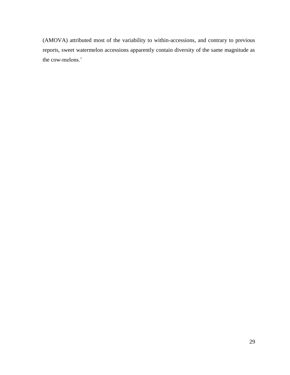(AMOVA) attributed most of the variability to within-accessions, and contrary to previous reports, sweet watermelon accessions apparently contain diversity of the same magnitude as the cow-melons.'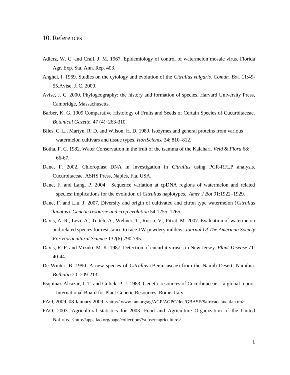- Adlerz, W. C. and Crall, J. M. 1967. Epidemiology of control of watermelon mosaic virus. Florida Agr. Exp. Sta. Ann. Rep. 403.
- Anghel, I. 1969. Studies on the cytology and evolution of the *Citrullus vulgaris. Comun. Bot.* 11:49- 55.Avise, J. C. 2000.
- Avise, J. C. 2000. Phylogeography: the history and formation of species. Harvard University Press, Cambridge, Massachusetts.
- Barber, K. G. 1909.Comparative Histology of Fruits and Seeds of Certain Species of Cucurbitaceae. *Botanical Gazette*, 47 (4): 263-310.
- Biles, C. L., Martyn, R. D. and Wilson, H. D. 1989. Isozymes and general proteins from various watermelon cultivars and tissue types. *HortScience* 24: 810–812.
- Botha, F. C. 1982. Water Conservation in the fruit of the tsamma of the Kalahari. *Veld & Flora* 68: 66-67.
- Dane, F. 2002. Chloroplast DNA in investigation in *Citrullus* using PCR-RFLP analysis. Cucurbitaceae. ASHS Press, Naples, Fla, USA.
- Dane, F. and Lang, P. 2004. Sequence variation at cpDNA regions of watermelon and related species: implications for the evolution of *Citrullus* haplotypes. *Amer J Bot* 91:1922–1929.
- Dane, F. and Liu, J. 2007. Diversity and origin of cultivated and citron type watermelon (*Citrullus lanatus*). *Genetic resource and crop evolution* 54:1255–1265
- Davis, A. R., Levi, A., Tetteh, A., Wehner, T., Russo, V., Pitrat, M. 2007. Evaluation of watermelon and related species for resistance to race 1W powdery mildew. *Journal Of The American Society For Horticultural Science* 132(6):790-795.
- Davis, R. F. and Mizuki, M. K. 1987. Detection of cucurbit viruses in New Jersey. *Plant-Disease* 71: 40-44.
- De Winter, B. 1990. A new species of *Citrullus* (Benincaseae) from the Namib Desert, Namibia. *Bothalia* 20: 209-213.
- Esquinaz-Alcazar, J. T. and Gulick, P. J. 1983. Genetic resources of Cucurbitaceae a global report. International Board for Plant Genetic Resources, Rome, Italy.
- FAO, 2009. 08 January 2009. <http:// [www.fao.org/ag/AGP/AGPC/doc/GBASE/Safricadata/citlan.tm>](http://www.fao.org/ag/AGP/AGPC/doc/GBASE/Safricadata/citlan.tm)
- FAO. 2003. Agricultural statistics for 2003. Food and Agriculture Organization of the United Nations. <http://apps.fao.org/page/collections?subset=agriculture>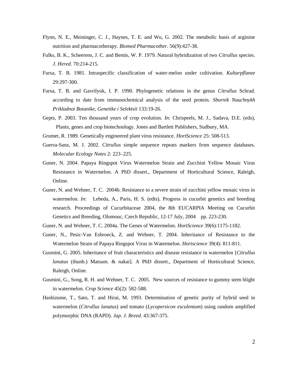- Flynn, N. E., Meininger, C. J., Haynes, T. E. and Wu, G. 2002. The metabolic basis of arginine nutrition and pharmacotherapy. *Biomed Pharmacother*. 56(9):427-38.
- Fulks, B. K., Scheerens, J. C. and Bemis, W. P. 1979. Natural hybridization of two *Citrullus* species. *J. Hered*. 70:214-215.
- Fursa, T. B. 1981. Intraspecific classification of water-melon under cultivation. *Kulturpflanze* 29:297-300.
- Fursa, T. B. and Gavrilyuk, I. P. 1990. Phylogenetic relations in the genus *Citrullus* Schrad. according to date from immunochemical analysis of the seed protein. *Sbornik Nauchnykh Prikladnoi Botanike, Genetike i Selektsii* 133:19-26.
- Gepts, P. 2003. Ten thousand years of crop evolution. *In*: Chrispeels, M. J., Sadava, D.E. (eds), Plants, genes and crop biotechnology. Jones and Bartlett Publishers, Sudbury, MA.
- Grumet, R. 1989. Genetically engineered plant virus resistance. *HortScience* 25: 508-513.
- Guerra-Sanz, M. J. 2002. *Citrullus* simple sequence repeats markers from sequence databases. *Molecular Ecology Notes* 2: 223–225.
- Guner, N. 2004. Papaya Ringspot Virus Watermelon Strain and Zucchini Yellow Mosaic Virus Resistance in Watermelon. A PhD dissert., Department of Horticultural Science, Raleigh, Online.
- Guner, N. and Wehner, T. C. 2004b. Resistance to a severe strain of zucchini yellow mosaic virus in watermelon. *In*: Lebeda, A., Paris, H. S. (edts), Progress in cucurbit genetics and breeding research. Proceedings of Cucurbitaceae 2004, the 8th EUCARPIA Meeting on Cucurbit Genetics and Breeding, Olomouc, Czech Republic, 12-17 July, 2004 pp. 223-230.
- Guner, N. and Wehner, T. C. 2004a. The Genes of Watermelon. *HortScience* 39(6):1175-1182.
- Guner, N., Pesic-Van Esbroeck, Z. and Wehner, T. 2004. Inheritance of Resistance to the Watermelon Strain of Papaya Ringspot Virus in Watermelon. *Hortscience* 39(4): 811-811.
- Gusmini, G. 2005. Inheritance of fruit characteristics and disease resistance in watermelon [*Citrullus lanatus* (thunb.) Matsum. & nakai]. A PhD dissert., Department of Horticultural Science, Raleigh, Online.
- Gusmini, G., Song, R. H. and Wehner, T. C. 2005. New sources of resistance to gummy stem blight in watermelon. *Crop Science* 45(2): 582-588.
- Hashizume, T., Sato, T. and Hirai, M. 1993. Determination of genetic purity of hybrid seed in watermelon (*Citrullus lanatus*) and tomato (*Lycopersicon esculentum*) using random amplified polymorphic DNA (RAPD). *Jap. J. Breed*. 43:367-375.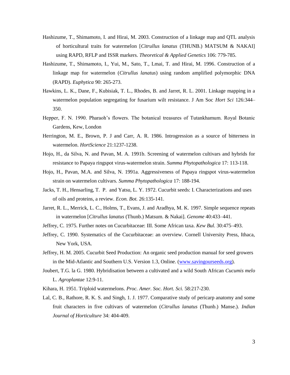- Hashizume, T., Shimamoto, I. and Hirai, M. 2003. Construction of a linkage map and QTL analysis of horticultural traits for watermelon [*Citrullus lanatus* (THUNB.) MATSUM & NAKAI] using RAPD, RFLP and ISSR markers. *Theoretical & Applied Genetics* 106: 779-785.
- Hashizume, T., Shimamoto, I., Yui, M., Sato, T., Lmai, T. and Hirai, M. 1996. Construction of a linkage map for watermelon (*Citrullus lanatus*) using random amplified polymorphic DNA (RAPD). *Euphytica* 90: 265-273.
- Hawkins, L. K., Dane, F., Kubisiak, T. L., Rhodes, B. and Jarret, R. L. 2001. Linkage mapping in a watermelon population segregating for fusarium wilt resistance. J Am Soc *Hort Sci* 126:344– 350.
- Hepper, F. N. 1990. Pharaoh"s flowers. The botanical treasures of Tutankhamum. Royal Botanic Gardens, Kew, London
- Herrington, M. E., Brown, P. J and Carr, A. R. 1986. Introgression as a source of bitterness in watermelon. *HortScience* 21:1237-1238.
- Hojo, H., da Silva, N. and Pavan, M. A. 1991b. Screening of watermelon cultivars and hybrids for resistance to Papaya ringspot virus-watermelon strain. *Summa Phytopathologica* 17: 113-118.
- Hojo, H., Pavan, M.A. and Silva, N. 1991a. Aggressiveness of Papaya ringspot virus-watermelon strain on watermelon cultivars. *Summa Phytopathologica* 17: 188-194.
- Jacks, T. H., Hensarling, T. P. and Yatsu, L. Y. 1972. Cucurbit seeds: I. Characterizations and uses of oils and proteins, a review. *Econ. Bot.* 26:135-141.
- Jarret, R. L., Merrick, L. C., Holms, T., Evans, J. and Aradhya, M. K. 1997. Simple sequence repeats in watermelon [*Citrullus lanatus* (Thunb.) Matsum. & Nakai]. *Genome* 40:433–441.
- Jeffrey, C. 1975. Further notes on Cucurbitaceae: III. Some African taxa. *Kew Bul.* 30:475–493.
- Jeffrey, C. 1990. Systematics of the Cucurbitaceae: an overview. Cornell University Press, Ithaca, New York, USA.
- Jeffrey, H. M. 2005. Cucurbit Seed Production: An organic seed production manual for seed growers in the Mid-Atlantic and Southern U.S. Version 1.3, Online. [\(www.savingourseeds.org\)](http://www.savingourseeds.org/).
- Joubert, T.G. la G. 1980. Hybridisation between a cultivated and a wild South African *Cucumis melo* L. *Agroplantae* 12:9-11.
- Kihara, H. 1951. Triploid watermelons. *Proc. Amer. Soc. Hort. Sci.* 58:217-230.
- Lal, C. B., Rathore, R. K. S. and Singh, 1. J. 1977. Comparative study of pericarp anatomy and some fruit characters in five cultivars of watermelon (*Citrullus lanatus* (Thunb.) Manse.). *Indian Journal of Horticulture* 34: 404-409.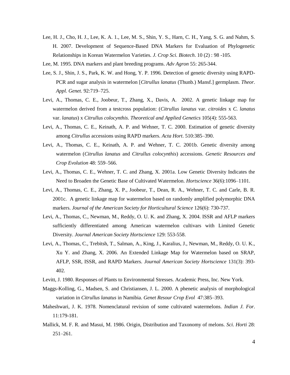- Lee, H. J., Cho, H. J., Lee, K. A. 1., Lee, M. S., Shin, Y. S., Harn, C. H., Yang, S. G. and Nahm, S. H. 2007. Development of Sequence-Based DNA Markers for Evaluation of Phylogenetic Relationships in Korean Watermelon Varieties. *J. Crop Sci. Biotech*. 10 (2) : 98 -105.
- Lee, M. 1995. DNA markers and plant breeding programs. *Adv Agron* 55: 265-344.
- Lee, S. J., Shin, J. S., Park, K. W. and Hong, Y. P. 1996. Detection of genetic diversity using RAPD-PCR and sugar analysis in watermelon [*Citrullus lanatus* (Thunb.) Mansf.] germplasm. *Theor. Appl. Genet.* 92:719–725.
- Levi, A., Thomas, C. E., Joobeur, T., Zhang, X., Davis, A. 2002. A genetic linkage map for watermelon derived from a testcross population: (*Citrullus lanatus* var. *citroides* x *C. lanatus* var. *lanatus*) x *Citrullus colocynthis*. *Theoretical and Applied Genetics* 105(4): 555-563.
- Levi, A., Thomas, C. E., Keinath, A. P. and Wehner, T. C. 2000. Estimation of genetic diversity among *Citrullus* accessions using RAPD markers. *Acta Hort*. 510:385–390.
- Levi, A., Thomas, C. E., Keinath, A. P. and Wehner, T. C. 2001b. Genetic diversity among watermelon (*Citrullus lanatus* and *Citrullus colocynthis*) accessions. *Genetic Resources and Crop Evolution* 48: 559–566.
- Levi, A., Thomas, C. E., Wehner, T. C. and Zhang, X. 2001a. Low Genetic Diversity Indicates the Need to Broaden the Genetic Base of Cultivated Watermelon. *Hortscience* 36(6):1096–1101.
- Levi, A., Thomas, C. E., Zhang, X. P., Joobeur, T., Dean, R. A., Wehner, T. C. and Carle, B. R. 2001c. A genetic linkage map for watermelon based on randomly amplified polymorphic DNA markers. *Journal of the American Society for Horticultural Science* 126(6): 730-737.
- Levi, A., Thomas, C., Newman, M., Reddy, O. U. K. and Zhang, X. 2004. ISSR and AFLP markers sufficiently differentiated among American watermelon cultivars with Limited Genetic Diversity. *Journal American Society Hortscience* 129: 553-558.
- Levi, A., Thomas, C., Trebitsh, T., Salman, A., King, J., Karalius, J., Newman, M., Reddy, O. U. K., Xu Y. and Zhang, X. 2006. An Extended Linkage Map for Watermelon based on SRAP, AFLP, SSR, ISSR, and RAPD Markers. *Journal American Society Hortscience* 131(3): 393- 402.
- Levitt, J. 1980. Responses of Plants to Environmental Stresses. Academic Press, Inc. New York.
- Maggs-Kolling, G., Madsen, S. and Christiansen, J. L. 2000. A phenetic analysis of morphological variation in *Citrullus lanatus* in Namibia. *Genet Resour Crop Evol* 47:385–393.
- Maheshwari, J. K. 1978. Nomenclatural revision of some cultivated watermelons. *Indian J. For.* 11:179-181.
- Mallick, M. F. R. and Masui, M. 1986. Origin, Distribution and Taxonomy of melons. *Sci. Horti* 28: 251–261.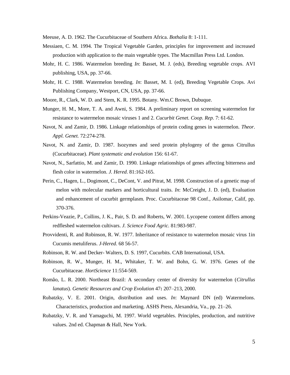Meeuse, A. D. 1962. The Cucurbitaceae of Southern Africa. *Bothalia* 8: 1-111.

- Messiaen, C. M. 1994. The Tropical Vegetable Garden, principles for improvement and increased production with application to the main vegetable types. The Macmillan Press Ltd. London.
- Mohr, H. C. 1986. Watermelon breeding *In*: Basset, M. J. (eds), Breeding vegetable crops. AVI publishing, USA, pp. 37-66.
- Mohr, H. C. 1988. Watermelon breeding. *In*: Basset, M. I. (ed), Breeding Vegetable Crops. Avi Publishing Company, Westport, CN, USA, pp. 37-66.
- Moore, R., Clark, W. D. and Stem, K. R. 1995. Botany. Wm.C Brown, Dubuque.
- Munger, H. M., More, T. A. and Awni, S. 1984. A preliminary report on screening watermelon for resistance to watermelon mosaic viruses 1 and 2. *Cucurbit Genet. Coop. Rep.* 7: 61-62.
- Navot, N. and Zamir, D. 1986. Linkage relationships of protein coding genes in watermelon. *Theor. Appl. Genet.* 72:274-278.
- Navot, N. and Zamir, D. 1987. Isozymes and seed protein phylogeny of the genus Citrullus (Cucurbitaceae). *Plant systematic and evolution* 156: 61-67.
- Navot, N., Sarfattio, M. and Zamir, D. 1990. Linkage relationships of genes affecting bitterness and flesh color in watermelon. *J. Hered*. 81:162-165.
- Perin, C., Hagen, L., Dogimont, C., DeCont, V. and Pitrat, M. 1998. Construction of a genetic map of melon with molecular markers and horticultural traits. *In*: McCreight, J. D. (ed), Evaluation and enhancement of cucurbit germplasm. Proc. Cucurbitaceae 98 Conf., Asilomar, Calif, pp. 370-376.
- Perkins-Veazie, P., Collins, J. K., Pair, S. D. and Roberts, W. 2001. Lycopene content differs among redfleshed watermelon cultivars. *J. Science Food Agric.* 81:983-987.
- Provvidenti, R. and Robinson, R. W. 1977. Inheritance of resistance to watermelon mosaic virus 1in Cucumis metuliferus. *J-Hered*. 68 56-57.
- Robinson, R. W. and Decker- Walters, D. S. 1997, Cucurbits. CAB International, USA.
- Robinson, R. W., Munger, H. M., Whitaker, T. W. and Bohn, G. W. 1976. Genes of the Cucurbitaceae. *HortScience* 11:554-569.
- Romão, L. R. 2000. Northeast Brazil: A secondary center of diversity for watermelon (*Citrullus lanatus*). *Genetic Resources and Crop Evolution* 47**:** 207–213, 2000.
- Rubatzky, V. E. 2001. Origin, distribution and uses. *In*: Maynard DN (ed) Watermelons. Characteristics, production and marketing. ASHS Press, Alexandria, Va., pp. 21–26.
- Rubatzky, V. R. and Yamaguchi, M. 1997. World vegetables. Principles, production, and nutritive values. 2nd ed. Chapman & Hall, New York.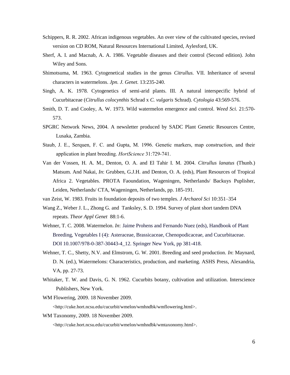- Schippers, R. R. 2002. African indigenous vegetables. An over view of the cultivated species, revised version on CD ROM, Natural Resources International Limited, Aylesford, UK.
- Sherf, A. I. and Macnab, A. A. 1986. Vegetable diseases and their control (Second edition). John Wiley and Sons.
- Shimotsuma, M. 1963. Cytogenetical studies in the genus *Citrullus.* VII. Inheritance of several characters in watermelons. *Jpn. J. Genet.* 13:235-240.
- Singh, A. K. 1978. Cytogenetics of semi-arid plants. III. A natural interspecific hybrid of Cucurbitaceae (*Citrullus colocynthis* Schrad x *C. vulgaris* Schrad). *Cytologia* 43:569-576.
- Smith, D. T. and Cooley, A. W. 1973. Wild watermelon emergence and control. *Weed Sci.* 21:570- 573.
- SPGRC Network News, 2004. A newsletter produced by SADC Plant Genetic Resources Centre, Lusaka, Zambia.
- Staub, J. E., Serquen, F. C. and Gupta, M. 1996. Genetic markers, map construction, and their application in plant breeding. *HortScience* 31:729-741.
- Van der Vossen, H. A. M., Denton, O. A. and El Tahir I. M. 2004. *Citrullus lanatus* (Thunb.) Matsum. And Nakai, *In*: Grubben, G.J.H. and Denton, O. A. (eds), Plant Resources of Tropical Africa 2. Vegetables. PROTA Faoundation, Wageningen, Netherlands/ Backuys Puplisher, Leiden, Netherlands/ CTA, Wageningen, Netherlands, pp. 185-191.
- van Zeist, W. 1983. Fruits in foundation deposits of two temples. *J Archaeol Sci* 10:351–354
- Wang Z., Weber J. L., Zhong G. and Tanksley, S. D. 1994. Survey of plant short tandem DNA repeats. *Theor Appl Genet* 88:1-6.
- Wehner, T. C. 2008. Watermelon. *In*: Jaime Prohens and Fernando Nuez (eds), Handbook of Plant Breeding, Vegetables I (4): Asteraceae, Brassicaceae, Chenopodicaceae, and Cucurbitaceae. DOI 10.1007/978-0-387-30443-4\_12. Springer New York, pp 381-418.
- Wehner, T. C., Shetty, N.V. and Elmstrom, G. W. 2001. Breeding and seed production. *In*: Maynard, D. N. (ed.), Watermelons: Characteristics, production, and marketing. ASHS Press, Alexandria, VA, pp. 27-73.
- Whitaker, T. W. and Davis, G. N. 1962. Cucurbits botany, cultivation and utilization. Interscience Publishers, New York.
- WM Flowering, 2009. 18 November 2009.

[<http://cuke.hort.ncsu.edu/cucurbit/wmelon/wmhndbk/wmflowering.html>](http://cuke.hort.ncsu.edu/cucurbit/wmelon/wmhndbk/wmflowering.html%3e).

WM Taxonomy, 2009. 18 November 2009.

<http://cuke.hort.ncsu.edu/cucurbit/wmelon/wmhndbk/wmtaxonomy.html>.